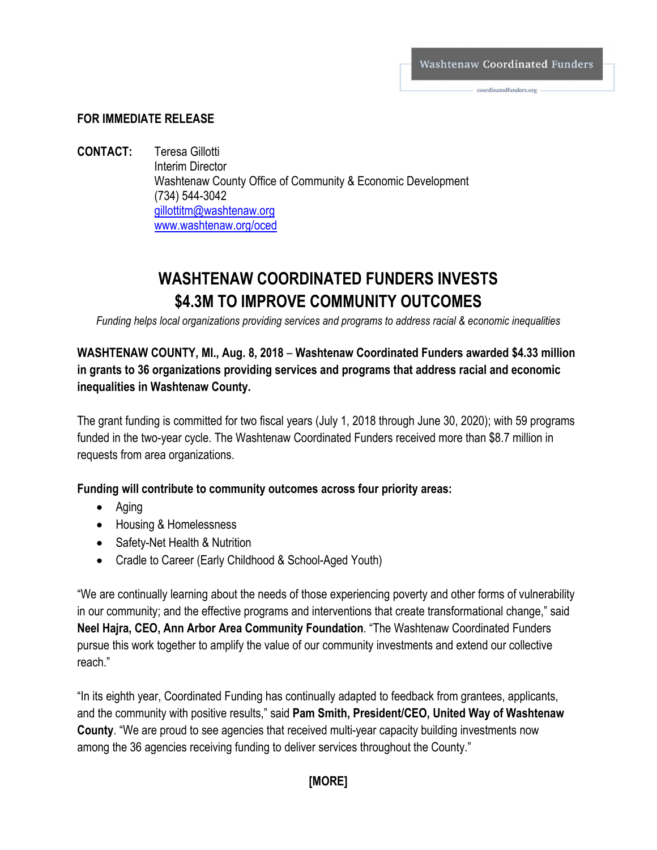coordinatedfunders.org

#### **FOR IMMEDIATE RELEASE**

**CONTACT:** Teresa Gillotti Interim Director Washtenaw County Office of Community & Economic Development (734) 544-3042 [gillottitm@washtenaw.org](mailto:gillottitm@washtenaw.org) [www.washtenaw.org/oced](http://www.washtenaw.org/oced)

# **WASHTENAW COORDINATED FUNDERS INVESTS \$4.3M TO IMPROVE COMMUNITY OUTCOMES**

*Funding helps local organizations providing services and programs to address racial & economic inequalities*

## **WASHTENAW COUNTY, MI., Aug. 8, 2018** – **Washtenaw Coordinated Funders awarded \$4.33 million in grants to 36 organizations providing services and programs that address racial and economic inequalities in Washtenaw County.**

The grant funding is committed for two fiscal years (July 1, 2018 through June 30, 2020); with 59 programs funded in the two-year cycle. The Washtenaw Coordinated Funders received more than \$8.7 million in requests from area organizations.

#### **Funding will contribute to community outcomes across four priority areas:**

- Aging
- Housing & Homelessness
- Safety-Net Health & Nutrition
- Cradle to Career (Early Childhood & School-Aged Youth)

"We are continually learning about the needs of those experiencing poverty and other forms of vulnerability in our community; and the effective programs and interventions that create transformational change," said **Neel Hajra, CEO, Ann Arbor Area Community Foundation**. "The Washtenaw Coordinated Funders pursue this work together to amplify the value of our community investments and extend our collective reach."

"In its eighth year, Coordinated Funding has continually adapted to feedback from grantees, applicants, and the community with positive results," said **Pam Smith, President/CEO, United Way of Washtenaw County**. "We are proud to see agencies that received multi-year capacity building investments now among the 36 agencies receiving funding to deliver services throughout the County."

#### **[MORE]**